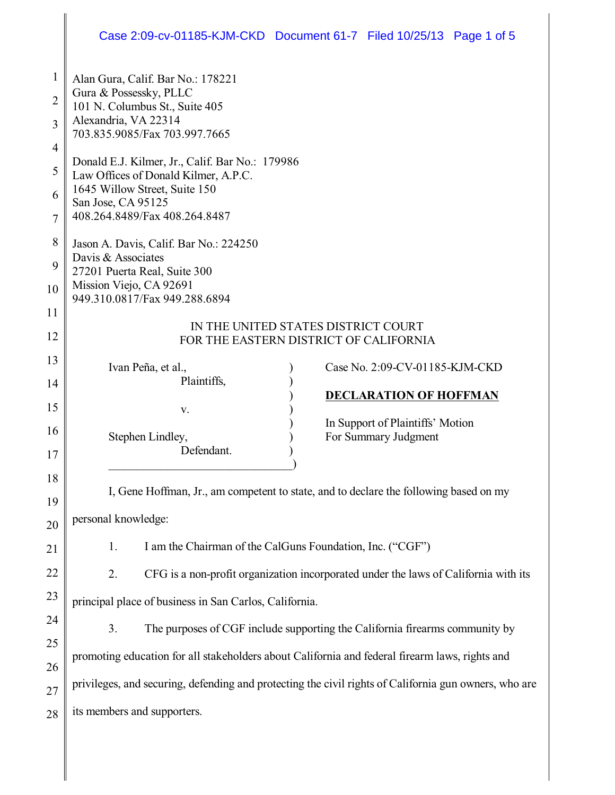## Case 2:09-cv-01185-KJM-CKD Document 61-7 Filed 10/25/13 Page 1 of 5

| 1              | Alan Gura, Calif. Bar No.: 178221                                                                     |
|----------------|-------------------------------------------------------------------------------------------------------|
| 2              | Gura & Possessky, PLLC<br>101 N. Columbus St., Suite 405                                              |
| 3              | Alexandria, VA 22314                                                                                  |
| 4              | 703.835.9085/Fax 703.997.7665                                                                         |
| 5              | Donald E.J. Kilmer, Jr., Calif. Bar No.: 179986<br>Law Offices of Donald Kilmer, A.P.C.               |
| 6              | 1645 Willow Street, Suite 150                                                                         |
| $\overline{7}$ | San Jose, CA 95125<br>408.264.8489/Fax 408.264.8487                                                   |
| 8              | Jason A. Davis, Calif. Bar No.: 224250                                                                |
| 9              | Davis & Associates<br>27201 Puerta Real, Suite 300                                                    |
| 10             | Mission Viejo, CA 92691                                                                               |
| 11             | 949.310.0817/Fax 949.288.6894                                                                         |
| 12             | IN THE UNITED STATES DISTRICT COURT<br>FOR THE EASTERN DISTRICT OF CALIFORNIA                         |
| 13             |                                                                                                       |
| 14             | Ivan Peña, et al.,<br>Case No. 2:09-CV-01185-KJM-CKD<br>Plaintiffs,                                   |
| 15             | <b>DECLARATION OF HOFFMAN</b><br>V.                                                                   |
| 16             | In Support of Plaintiffs' Motion                                                                      |
| 17             | For Summary Judgment<br>Stephen Lindley,<br>Defendant.                                                |
| 18             |                                                                                                       |
| 19             | I, Gene Hoffman, Jr., am competent to state, and to declare the following based on my                 |
| 20             | personal knowledge:                                                                                   |
| 21             | I am the Chairman of the CalGuns Foundation, Inc. ("CGF")<br>1.                                       |
| 22             | CFG is a non-profit organization incorporated under the laws of California with its<br>2.             |
| 23             | principal place of business in San Carlos, California.                                                |
| 24             | 3.<br>The purposes of CGF include supporting the California firearms community by                     |
| 25             |                                                                                                       |
| 26             | promoting education for all stakeholders about California and federal firearm laws, rights and        |
| 27             | privileges, and securing, defending and protecting the civil rights of California gun owners, who are |
| 28             | its members and supporters.                                                                           |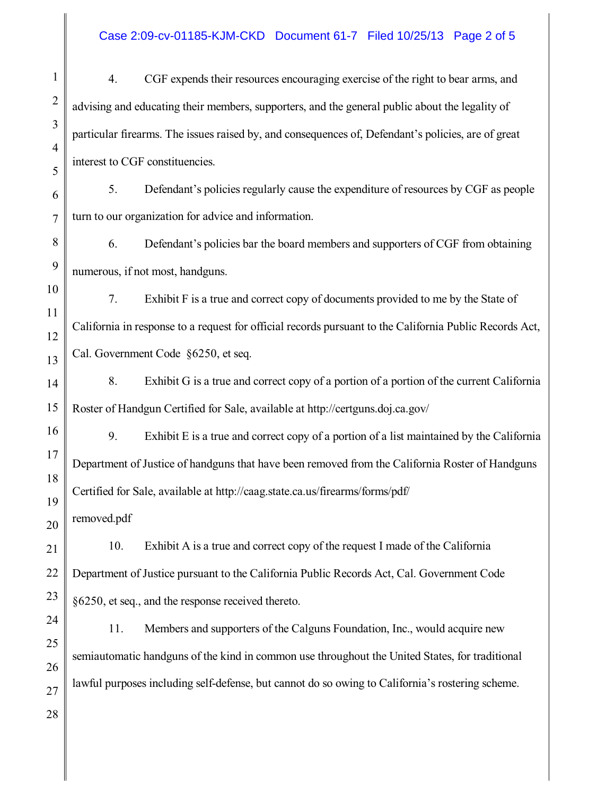## Case 2:09-cv-01185-KJM-CKD Document 61-7 Filed 10/25/13 Page 2 of 5

1 5 7 27 28 4. CGF expends their resources encouraging exercise of the right to bear arms, and advising and educating their members, supporters, and the general public about the legality of particular firearms. The issues raised by, and consequences of, Defendant's policies, are of great interest to CGF constituencies. 5. Defendant's policies regularly cause the expenditure of resources by CGF as people turn to our organization for advice and information. 6. Defendant's policies bar the board members and supporters of CGF from obtaining numerous, if not most, handguns. 7. Exhibit F is a true and correct copy of documents provided to me by the State of California in response to a request for official records pursuant to the California Public Records Act, Cal. Government Code §6250, et seq. 8. Exhibit G is a true and correct copy of a portion of a portion of the current California Roster of Handgun Certified for Sale, available at http://certguns.doj.ca.gov/ 9. Exhibit E is a true and correct copy of a portion of a list maintained by the California Department of Justice of handguns that have been removed from the California Roster of Handguns Certified for Sale, available at http://caag.state.ca.us/firearms/forms/pdf/ removed.pdf 10. Exhibit A is a true and correct copy of the request I made of the California Department of Justice pursuant to the California Public Records Act, Cal. Government Code §6250, et seq., and the response received thereto. 11. Members and supporters of the Calguns Foundation, Inc., would acquire new semiautomatic handguns of the kind in common use throughout the United States, for traditional lawful purposes including self-defense, but cannot do so owing to California's rostering scheme.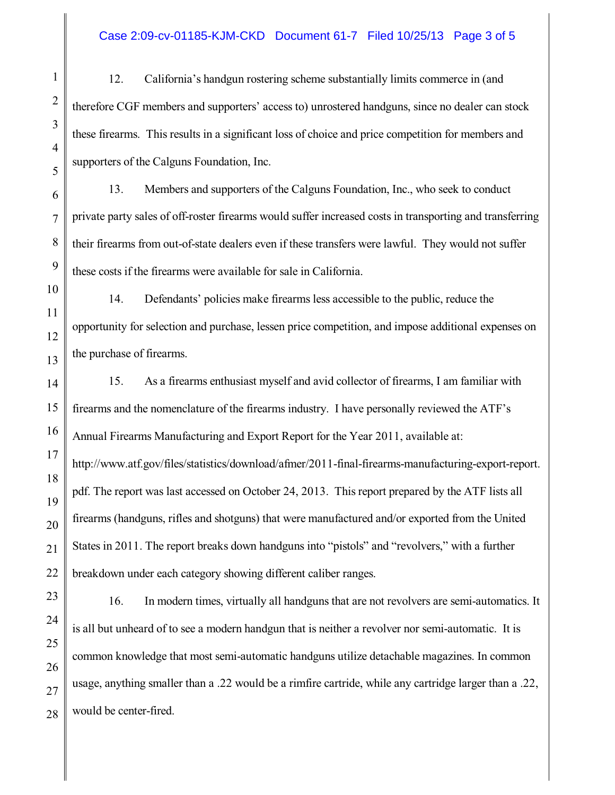## Case 2:09-cv-01185-KJM-CKD Document 61-7 Filed 10/25/13 Page 3 of 5

12. California's handgun rostering scheme substantially limits commerce in (and therefore CGF members and supporters' access to) unrostered handguns, since no dealer can stock these firearms. This results in a significant loss of choice and price competition for members and supporters of the Calguns Foundation, Inc.

13. Members and supporters of the Calguns Foundation, Inc., who seek to conduct private party sales of off-roster firearms would suffer increased costs in transporting and transferring their firearms from out-of-state dealers even if these transfers were lawful. They would not suffer these costs if the firearms were available for sale in California.

14. Defendants' policies make firearms less accessible to the public, reduce the opportunity for selection and purchase, lessen price competition, and impose additional expenses on the purchase of firearms.

15. As a firearms enthusiast myself and avid collector of firearms, I am familiar with firearms and the nomenclature of the firearms industry. I have personally reviewed the ATF's Annual Firearms Manufacturing and Export Report for the Year 2011, available at: http://www.atf.gov/files/statistics/download/afmer/2011-final-firearms-manufacturing-export-report. pdf. The report was last accessed on October 24, 2013. This report prepared by the ATF lists all firearms (handguns, rifles and shotguns) that were manufactured and/or exported from the United States in 2011. The report breaks down handguns into "pistols" and "revolvers," with a further breakdown under each category showing different caliber ranges.

16. In modern times, virtually all handguns that are not revolvers are semi-automatics. It is all but unheard of to see a modern handgun that is neither a revolver nor semi-automatic. It is common knowledge that most semi-automatic handguns utilize detachable magazines. In common usage, anything smaller than a .22 would be a rimfire cartride, while any cartridge larger than a .22, would be center-fired.

1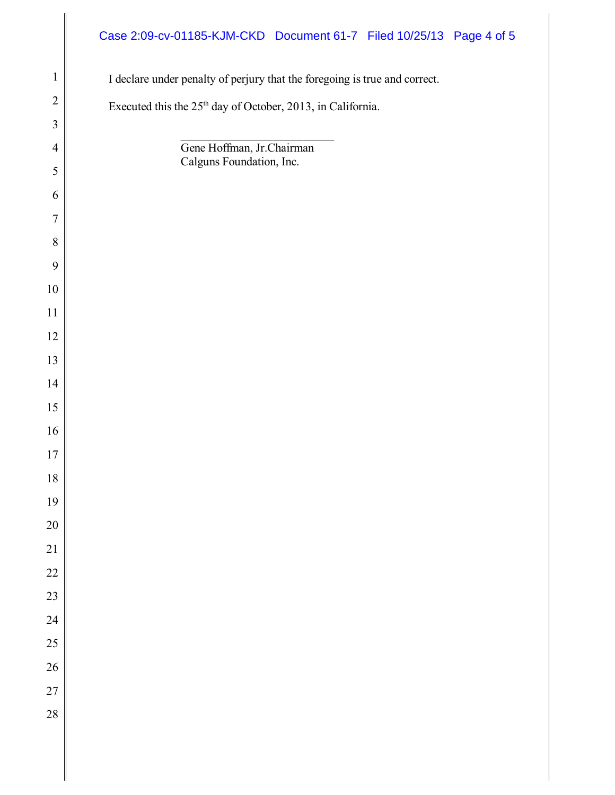## I declare under penalty of perjury that the foregoing is true and correct. Executed this the  $25<sup>th</sup>$  day of October, 2013, in California.  $\mathcal{L}_\text{max}$  , where  $\mathcal{L}_\text{max}$  , we have the set of the set of the set of the set of the set of the set of the set of the set of the set of the set of the set of the set of the set of the set of the set of the set of Gene Hoffman, Jr.Chairman Calguns Foundation, Inc. Case 2:09-cv-01185-KJM-CKD Document 61-7 Filed 10/25/13 Page 4 of 5